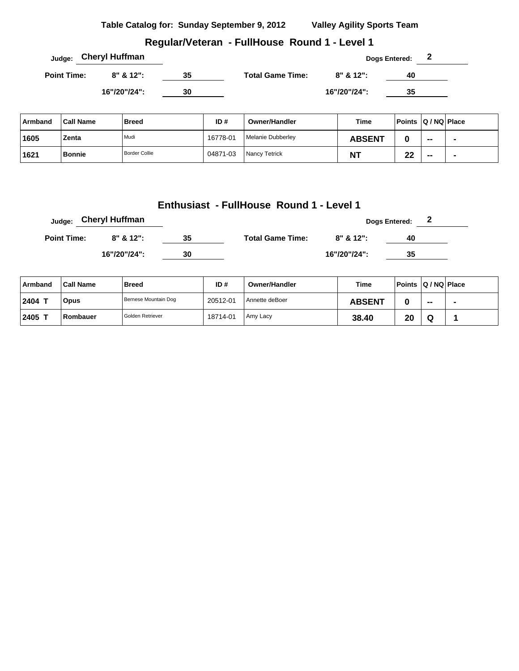## **Regular/Veteran - FullHouse Round 1 - Level 1**

|                    | <sub>Judge:</sub> Cheryl Huffman |    |                         |              | 2<br><b>Dogs Entered:</b> |  |
|--------------------|----------------------------------|----|-------------------------|--------------|---------------------------|--|
| <b>Point Time:</b> | $8" 812"$ :                      | 35 | <b>Total Game Time:</b> | $8" 812"$ :  | 40                        |  |
|                    | 16"/20"/24":                     | 30 |                         | 16"/20"/24": | 35                        |  |

| ∣ Armband | <b>Call Name</b> | <b>Breed</b>         | ID#      | <b>Owner/Handler</b> | Time          | Points   Q / NQ   Place |                          |                          |
|-----------|------------------|----------------------|----------|----------------------|---------------|-------------------------|--------------------------|--------------------------|
| 1605      | Zenta            | Mudi                 | 16778-01 | Melanie Dubberley    | <b>ABSENT</b> |                         | $\overline{\phantom{a}}$ | $\blacksquare$           |
| 1621      | <b>Bonnie</b>    | <b>Border Collie</b> | 04871-03 | Nancy Tetrick        | <b>NT</b>     | ne.<br>--               | $- -$                    | $\overline{\phantom{a}}$ |

#### **Enthusiast - FullHouse Round 1 - Level 1**

|                    | Judge: Cheryl Huffman |    |                         |              | <b>Dogs Entered:</b> | - 2 |
|--------------------|-----------------------|----|-------------------------|--------------|----------------------|-----|
| <b>Point Time:</b> | $8" 8' 12"$ :         | 35 | <b>Total Game Time:</b> | 8" & 12":    | 40                   |     |
|                    | 16"/20"/24":          | 30 |                         | 16"/20"/24": | 35                   |     |

| Armband | <b>Call Name</b> | <b>Breed</b>         | ID#      | Owner/Handler  | <b>Time</b>   | Points Q / NQ Place |       |  |
|---------|------------------|----------------------|----------|----------------|---------------|---------------------|-------|--|
| 2404 T  | <b>Opus</b>      | Bernese Mountain Dog | 20512-01 | Annette deBoer | <b>ABSENT</b> |                     | $- -$ |  |
| 2405    | Rombauer         | l Golden Retriever   | 18714-01 | Amy Lacy       | 38.40         | 20                  | w     |  |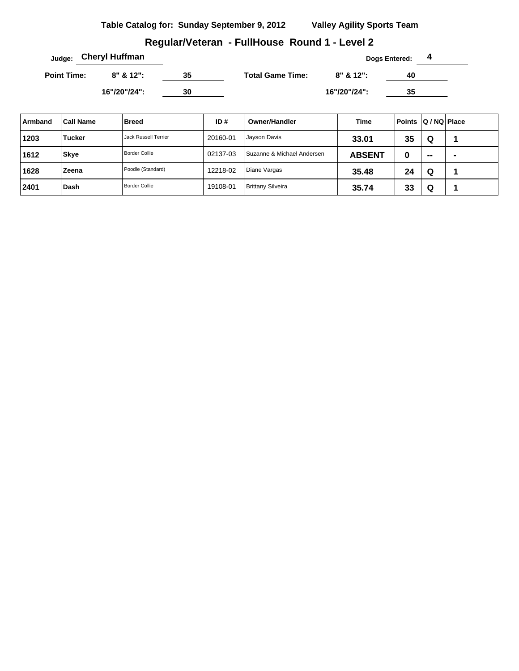## **Regular/Veteran - FullHouse Round 1 - Level 2**

|                    | <sub>Judge:</sub> Cheryl Huffman |    |                         |              | Dogs Entered: |  |
|--------------------|----------------------------------|----|-------------------------|--------------|---------------|--|
| <b>Point Time:</b> | $8" 8' 12"$ :                    | 35 | <b>Total Game Time:</b> | $8" 812"$ :  | 40            |  |
|                    | 16"/20"/24":                     | 30 |                         | 16"/20"/24": | 35            |  |

| Armband | <b>Call Name</b> | <b>Breed</b>                | ID#      | Owner/Handler              | Time          | Points Q / NQ Place |                          |   |
|---------|------------------|-----------------------------|----------|----------------------------|---------------|---------------------|--------------------------|---|
| 1203    | <b>Tucker</b>    | <b>Jack Russell Terrier</b> | 20160-01 | Jayson Davis               | 33.01         | 35                  | Q                        |   |
| 1612    | <b>Skye</b>      | Border Collie               | 02137-03 | Suzanne & Michael Andersen | <b>ABSENT</b> | u                   | $\overline{\phantom{a}}$ | - |
| 1628    | Zeena            | Poodle (Standard)           | 12218-02 | Diane Vargas               | 35.48         | 24                  | Q                        |   |
| 2401    | Dash             | Border Collie               | 19108-01 | <b>Brittany Silveira</b>   | 35.74         | 33                  | Q                        |   |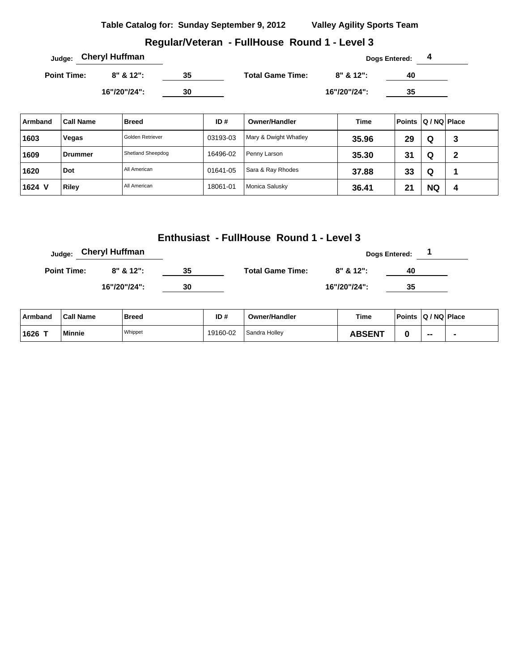## **Regular/Veteran - FullHouse Round 1 - Level 3**

| Judge:             | <b>Cheryl Huffman</b> |    |                         |              | Dogs Entered:<br>4 |  |
|--------------------|-----------------------|----|-------------------------|--------------|--------------------|--|
| <b>Point Time:</b> | $8" 812"$ :           | 35 | <b>Total Game Time:</b> | $8" 812"$ :  | 40                 |  |
|                    | 16"/20"/24":          | 30 |                         | 16"/20"/24": | 35                 |  |

| Armband | <b>Call Name</b> | <b>Breed</b>      | ID#      | Owner/Handler         | Time  | Points Q / NQ Place |           |   |
|---------|------------------|-------------------|----------|-----------------------|-------|---------------------|-----------|---|
| 1603    | Vegas            | Golden Retriever  | 03193-03 | Mary & Dwight Whatley | 35.96 | 29                  | Q         | 3 |
| 1609    | Drummer          | Shetland Sheepdog | 16496-02 | Penny Larson          | 35.30 | 31                  | Q         | 2 |
| 1620    | Dot              | All American      | 01641-05 | Sara & Ray Rhodes     | 37.88 | 33                  | Q         |   |
| 1624 V  | <b>Riley</b>     | All American      | 18061-01 | Monica Salusky        | 36.41 | 21                  | <b>NQ</b> | 4 |

## **Enthusiast - FullHouse Round 1 - Level 3**

| Judge:             | <b>Cheryl Huffman</b> |    |                         |              | <b>Dogs Entered:</b> |  |
|--------------------|-----------------------|----|-------------------------|--------------|----------------------|--|
| <b>Point Time:</b> | $8"$ & 12":           | 35 | <b>Total Game Time:</b> | 8" & 12":    | 40                   |  |
|                    | 16"/20"/24":          | 30 |                         | 16"/20"/24": | 35                   |  |

| ∣ Armband | <b>Call Name</b> | Breed   | ID#      | <b>Owner/Handler</b> | <b>Time</b>   | Points Q / NQ Place |    |  |
|-----------|------------------|---------|----------|----------------------|---------------|---------------------|----|--|
| ⊺1626     | Minnie           | Whippet | 19160-02 | Sandra Hollev        | <b>ABSENT</b> |                     | -- |  |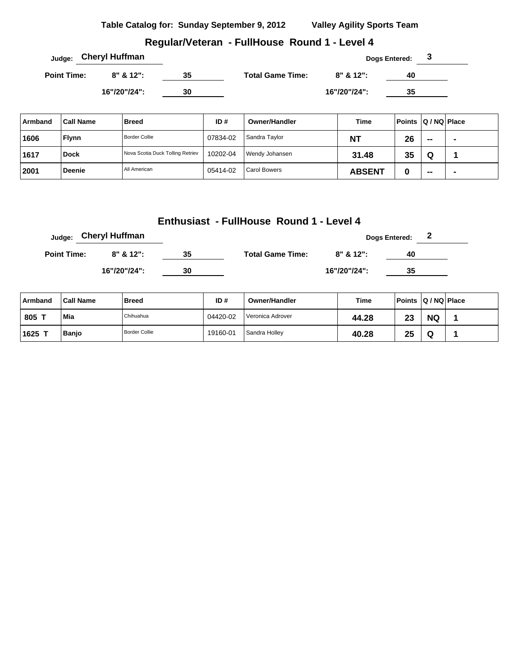## **Regular/Veteran - FullHouse Round 1 - Level 4**

|                    | <sub>Judge:</sub> Cheryl Huffman |    |                         |              | <b>Dogs Entered:</b> |  |
|--------------------|----------------------------------|----|-------------------------|--------------|----------------------|--|
| <b>Point Time:</b> | $8" 8' 12"$ :                    | 35 | <b>Total Game Time:</b> | 8" & 12":    | 40                   |  |
|                    | 16"/20"/24":                     | 30 |                         | 16"/20"/24": | 35                   |  |

| Armband | <b>Call Name</b> | <b>Breed</b>                     | ID#      | Owner/Handler       | <b>Time</b>   | Points Q / NQ Place |       |  |
|---------|------------------|----------------------------------|----------|---------------------|---------------|---------------------|-------|--|
| 1606    | <b>Flynn</b>     | Border Collie                    | 07834-02 | Sandra Taylor       | <b>NT</b>     | 26                  | $- -$ |  |
| 1617    | <b>Dock</b>      | Nova Scotia Duck Tolling Retriev | 10202-04 | Wendy Johansen      | 31.48         | 35                  | Q     |  |
| 2001    | <b>Deenie</b>    | All American                     | 05414-02 | <b>Carol Bowers</b> | <b>ABSENT</b> |                     | $- -$ |  |

## **Enthusiast - FullHouse Round 1 - Level 4**

| Judge:             | <b>Cheryl Huffman</b> |    |                         |               | Dogs Entered: 2 |  |
|--------------------|-----------------------|----|-------------------------|---------------|-----------------|--|
| <b>Point Time:</b> | $8" 8' 12"$ :         | 35 | <b>Total Game Time:</b> | $8" 8' 12"$ : | 40              |  |
|                    | 16"/20"/24":          | 30 |                         | 16"/20"/24":  | 35              |  |

| Armband | <b>Call Name</b> | <b>Breed</b>         | ID#      | <b>Owner/Handler</b> | Time  | Points Q / NQ Place |           |  |
|---------|------------------|----------------------|----------|----------------------|-------|---------------------|-----------|--|
| 805 -   | Mia              | Chihuahua            | 04420-02 | Veronica Adrover     | 44.28 | າາ<br>w             | <b>NQ</b> |  |
| 1625    | <b>Banjo</b>     | <b>Border Collie</b> | 19160-01 | Sandra Holley        | 40.28 | 25                  | w         |  |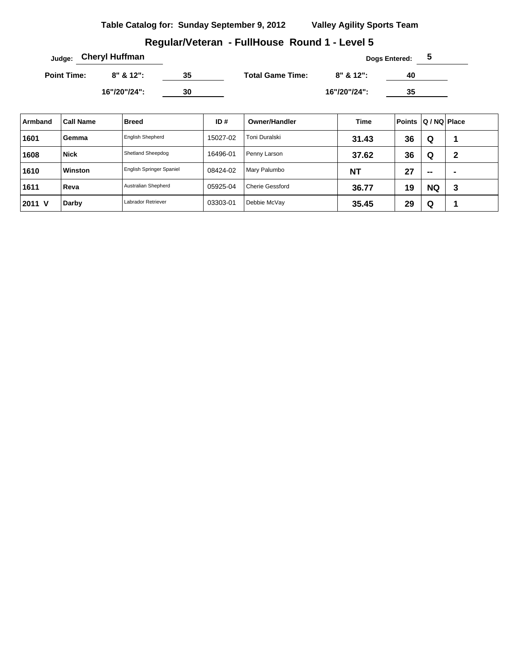## **Regular/Veteran - FullHouse Round 1 - Level 5**

|                    | <sub>Judge:</sub> Cheryl Huffman |    |                         |              | <b>Dogs Entered:</b> | $\mathbf{p}$ |
|--------------------|----------------------------------|----|-------------------------|--------------|----------------------|--------------|
| <b>Point Time:</b> | $8" 8' 12"$ :                    | 35 | <b>Total Game Time:</b> | $8" 812"$ :  | 40                   |              |
|                    | 16"/20"/24":                     | 30 |                         | 16"/20"/24": | 35                   |              |

| Armband | <b>Call Name</b> | <b>Breed</b>             | ID#      | Owner/Handler   | Time      | <b>Points</b> | Q / NQ   Place |   |
|---------|------------------|--------------------------|----------|-----------------|-----------|---------------|----------------|---|
| 1601    | Gemma            | <b>English Shepherd</b>  | 15027-02 | Toni Duralski   | 31.43     | 36            | Q              |   |
| 1608    | <b>Nick</b>      | Shetland Sheepdog        | 16496-01 | Penny Larson    | 37.62     | 36            | Q              | 2 |
| 1610    | Winston          | English Springer Spaniel | 08424-02 | Mary Palumbo    | <b>NT</b> | 27            | $\sim$         | - |
| 1611    | Reva             | Australian Shepherd      | 05925-04 | Cherie Gessford | 36.77     | 19            | <b>NQ</b>      | 3 |
| 2011 V  | Darby            | Labrador Retriever       | 03303-01 | Debbie McVay    | 35.45     | 29            | Q              |   |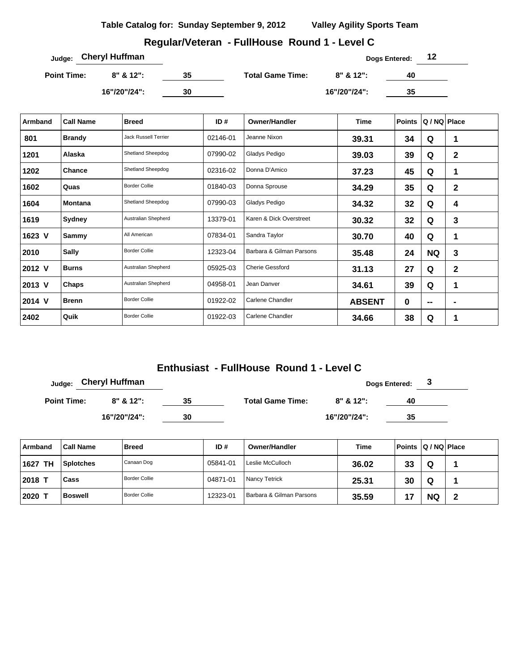## **Regular/Veteran - FullHouse Round 1 - Level C**

| Judge: Cheryl Huffman |              |    |                         |              | Dogs Entered: | 12 |
|-----------------------|--------------|----|-------------------------|--------------|---------------|----|
| <b>Point Time:</b>    | $8" 812"$ :  | 35 | <b>Total Game Time:</b> | $8"$ & 12":  | 40            |    |
|                       | 16"/20"/24": | 30 |                         | 16"/20"/24": | 35            |    |

| Armband | <b>Call Name</b> | <b>Breed</b>                | ID $#$   | <b>Owner/Handler</b>     | Time          | <b>Points</b> | Q / NQ Place |   |
|---------|------------------|-----------------------------|----------|--------------------------|---------------|---------------|--------------|---|
| 801     | <b>Brandy</b>    | <b>Jack Russell Terrier</b> | 02146-01 | Jeanne Nixon             | 39.31         | 34            | Q            | 1 |
| 1201    | Alaska           | Shetland Sheepdog           | 07990-02 | Gladys Pedigo            | 39.03         | 39            | Q            | 2 |
| 1202    | Chance           | Shetland Sheepdog           | 02316-02 | Donna D'Amico            | 37.23         | 45            | Q            | 1 |
| 1602    | Quas             | <b>Border Collie</b>        | 01840-03 | Donna Sprouse            | 34.29         | 35            | Q            | 2 |
| 1604    | <b>Montana</b>   | Shetland Sheepdog           | 07990-03 | Gladys Pedigo            | 34.32         | 32            | Q            | 4 |
| 1619    | Sydney           | Australian Shepherd         | 13379-01 | Karen & Dick Overstreet  | 30.32         | 32            | Q            | 3 |
| 1623 V  | Sammy            | All American                | 07834-01 | Sandra Taylor            | 30.70         | 40            | Q            | 1 |
| 2010    | <b>Sally</b>     | <b>Border Collie</b>        | 12323-04 | Barbara & Gilman Parsons | 35.48         | 24            | <b>NQ</b>    | 3 |
| 2012 V  | <b>Burns</b>     | Australian Shepherd         | 05925-03 | <b>Cherie Gessford</b>   | 31.13         | 27            | Q            | 2 |
| 2013 V  | Chaps            | Australian Shepherd         | 04958-01 | Jean Danver              | 34.61         | 39            | Q            | 1 |
| 2014 V  | <b>Brenn</b>     | <b>Border Collie</b>        | 01922-02 | Carlene Chandler         | <b>ABSENT</b> | 0             | $\mathbf{m}$ |   |
| 2402    | Quik             | <b>Border Collie</b>        | 01922-03 | Carlene Chandler         | 34.66         | 38            | Q            | 1 |

# **Enthusiast - FullHouse Round 1 - Level C**

| Judge:             | <b>Cheryl Huffman</b> |    |                         |              | <b>Dogs Entered:</b> |  |
|--------------------|-----------------------|----|-------------------------|--------------|----------------------|--|
| <b>Point Time:</b> | 8" & 12":             | 35 | <b>Total Game Time:</b> | $8" 812"$ :  | 40                   |  |
|                    | 16"/20"/24":          | 30 |                         | 16"/20"/24": | 35                   |  |

| Armband    | <b>Call Name</b> | <b>Breed</b>         | ID#      | Owner/Handler            | Time  | Points Q / NQ Place |           |  |
|------------|------------------|----------------------|----------|--------------------------|-------|---------------------|-----------|--|
| TН<br>1627 | <b>Splotches</b> | Canaan Dog           | 05841-01 | Leslie McCulloch         | 36.02 | 33                  | Q         |  |
| 2018 1     | Cass             | Border Collie        | 04871-01 | Nancy Tetrick            | 25.31 | 30                  | Q         |  |
| 2020       | <b>Boswell</b>   | <b>Border Collie</b> | 12323-01 | Barbara & Gilman Parsons | 35.59 |                     | <b>NQ</b> |  |